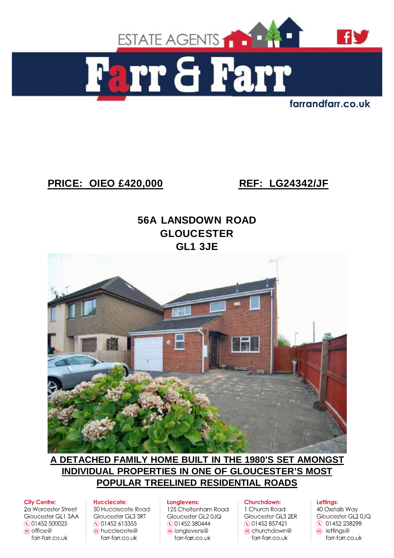

farrandfarr.co.uk

# **PRICE: OIEO £420,000 REF: LG24342/JF**

# **56A LANSDOWN ROAD GLOUCESTER GL1 3JE**



# **A DETACHED FAMILY HOME BUILT IN THE 1980'S SET AMONGST INDIVIDUAL PROPERTIES IN ONE OF GLOUCESTER'S MOST POPULAR TREELINED RESIDENTIAL ROADS**

#### **City Centre:**

2a Worcester Street Gloucester GL1 3AA ◯ 01452 500025  $\circledcirc$  office  $\circledcirc$ farr-farr.co.uk

#### **Hucclecote:**

50 Hucclecote Road Gloucester GL3 3RT ◯ 01452 613355 a hucclecote@ farr-farr.co.uk

#### Longlevens:

125 Cheltenham Road Gloucester GL20JQ **CO1452380444** o longlevens@ farr-farr.co.uk

#### Churchdown:

1 Church Road Gloucester GL3 2ER  $\bigcirc$  01452 857421 churchdown@ farr-farr.co.uk

#### Lettings:

40 Oxstalls Way Gloucester GL2 0JQ **0 01452 238298**  $\circledcirc$  lettings@ farr-farr.co.uk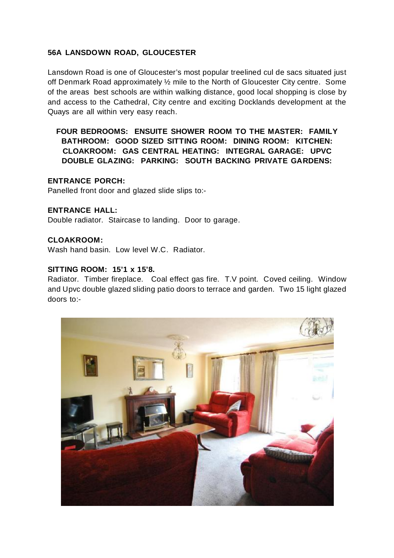## **56A LANSDOWN ROAD, GLOUCESTER**

Lansdown Road is one of Gloucester's most popular treelined cul de sacs situated just off Denmark Road approximately ½ mile to the North of Gloucester City centre. Some of the areas best schools are within walking distance, good local shopping is close by and access to the Cathedral, City centre and exciting Docklands development at the Quays are all within very easy reach.

## **FOUR BEDROOMS: ENSUITE SHOWER ROOM TO THE MASTER: FAMILY BATHROOM: GOOD SIZED SITTING ROOM: DINING ROOM: KITCHEN: CLOAKROOM: GAS CENTRAL HEATING: INTEGRAL GARAGE: UPVC DOUBLE GLAZING: PARKING: SOUTH BACKING PRIVATE GARDENS:**

#### **ENTRANCE PORCH:**

Panelled front door and glazed slide slips to:-

#### **ENTRANCE HALL:**

Double radiator. Staircase to landing. Door to garage.

#### **CLOAKROOM:**

Wash hand basin. Low level W.C. Radiator.

#### **SITTING ROOM: 15'1 x 15'8.**

Radiator. Timber fireplace. Coal effect gas fire. T.V point. Coved ceiling. Window and Upvc double glazed sliding patio doors to terrace and garden. Two 15 light glazed doors to:-

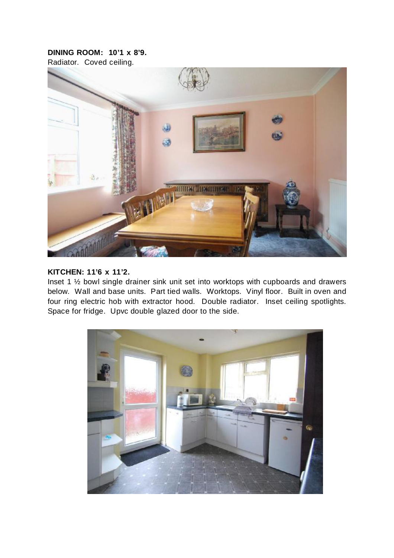## **DINING ROOM: 10'1 x 8'9.**

Radiator. Coved ceiling.



#### **KITCHEN: 11'6 x 11'2.**

Inset 1 ½ bowl single drainer sink unit set into worktops with cupboards and drawers below. Wall and base units. Part tied walls. Worktops. Vinyl floor. Built in oven and four ring electric hob with extractor hood. Double radiator. Inset ceiling spotlights. Space for fridge. Upvc double glazed door to the side.

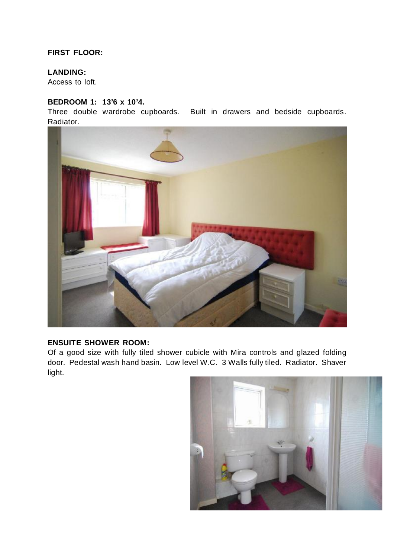## **FIRST FLOOR:**

#### **LANDING:**

Access to loft.

#### **BEDROOM 1: 13'6 x 10'4.**

Three double wardrobe cupboards. Built in drawers and bedside cupboards. Radiator.



#### **ENSUITE SHOWER ROOM:**

Of a good size with fully tiled shower cubicle with Mira controls and glazed folding door. Pedestal wash hand basin. Low level W.C. 3 Walls fully tiled. Radiator. Shaver light.

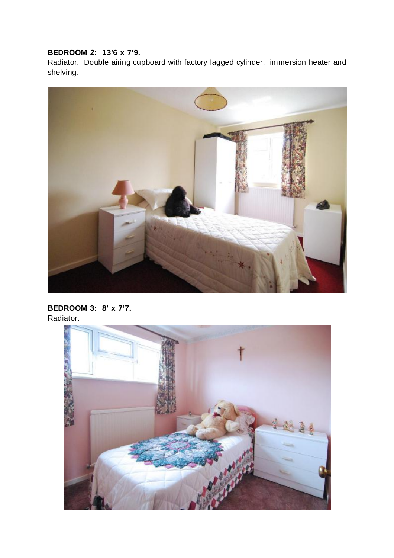# **BEDROOM 2: 13'6 x 7'9.**

Radiator. Double airing cupboard with factory lagged cylinder, immersion heater and shelving.



## **BEDROOM 3: 8' x 7'7.**  Radiator.

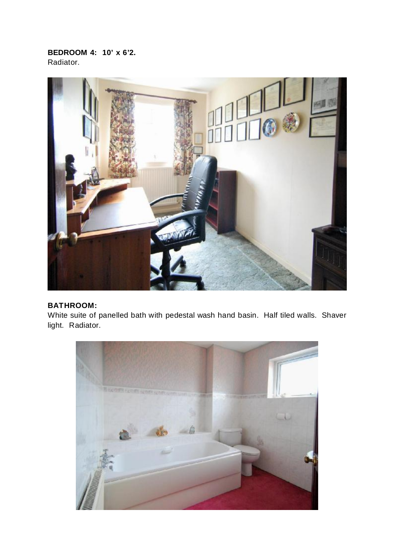**BEDROOM 4: 10' x 6'2.**  Radiator.



# **BATHROOM:**

White suite of panelled bath with pedestal wash hand basin. Half tiled walls. Shaver light. Radiator.

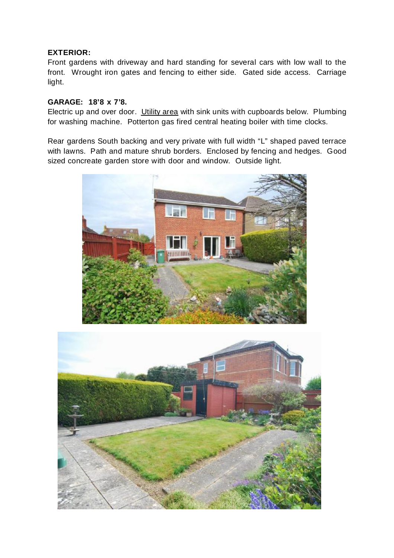#### **EXTERIOR:**

Front gardens with driveway and hard standing for several cars with low wall to the front. Wrought iron gates and fencing to either side. Gated side access. Carriage light.

#### **GARAGE: 18'8 x 7'8.**

Electric up and over door. Utility area with sink units with cupboards below. Plumbing for washing machine. Potterton gas fired central heating boiler with time clocks.

Rear gardens South backing and very private with full width "L" shaped paved terrace with lawns. Path and mature shrub borders. Enclosed by fencing and hedges. Good sized concreate garden store with door and window. Outside light.